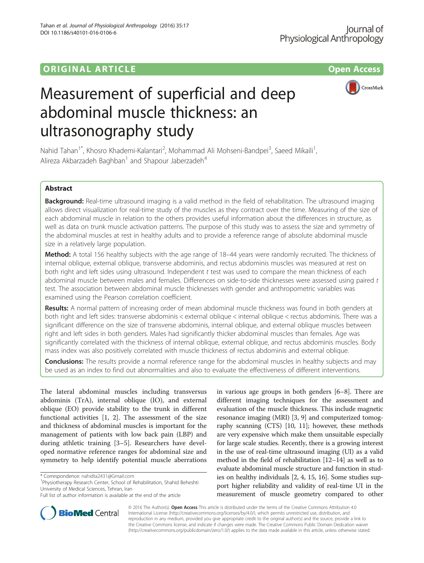

# Measurement of superficial and deep abdominal muscle thickness: an ultrasonography study

Nahid Tahan<sup>1\*</sup>, Khosro Khademi-Kalantari<sup>2</sup>, Mohammad Ali Mohseni-Bandpei<sup>3</sup>, Saeed Mikaili<sup>1</sup> , Alireza Akbarzadeh Baghban<sup>1</sup> and Shapour Jaberzadeh<sup>4</sup>

# Abstract

Background: Real-time ultrasound imaging is a valid method in the field of rehabilitation. The ultrasound imaging allows direct visualization for real-time study of the muscles as they contract over the time. Measuring of the size of each abdominal muscle in relation to the others provides useful information about the differences in structure, as well as data on trunk muscle activation patterns. The purpose of this study was to assess the size and symmetry of the abdominal muscles at rest in healthy adults and to provide a reference range of absolute abdominal muscle size in a relatively large population.

Method: A total 156 healthy subjects with the age range of 18–44 years were randomly recruited. The thickness of internal oblique, external oblique, transverse abdominis, and rectus abdominis muscles was measured at rest on both right and left sides using ultrasound. Independent t test was used to compare the mean thickness of each abdominal muscle between males and females. Differences on side-to-side thicknesses were assessed using paired t test. The association between abdominal muscle thicknesses with gender and anthropometric variables was examined using the Pearson correlation coefficient.

Results: A normal pattern of increasing order of mean abdominal muscle thickness was found in both genders at both right and left sides: transverse abdominis < external oblique < internal oblique < rectus abdominis. There was a significant difference on the size of transverse abdominis, internal oblique, and external oblique muscles between right and left sides in both genders. Males had significantly thicker abdominal muscles than females. Age was significantly correlated with the thickness of internal oblique, external oblique, and rectus abdominis muscles. Body mass index was also positively correlated with muscle thickness of rectus abdominis and external oblique.

**Conclusions:** The results provide a normal reference range for the abdominal muscles in healthy subjects and may be used as an index to find out abnormalities and also to evaluate the effectiveness of different interventions.

The lateral abdominal muscles including transversus abdominis (TrA), internal oblique (IO), and external oblique (EO) provide stability to the trunk in different functional activities [\[1](#page-4-0), [2](#page-4-0)]. The assessment of the size and thickness of abdominal muscles is important for the management of patients with low back pain (LBP) and during athletic training [\[3](#page-4-0)–[5](#page-4-0)]. Researchers have developed normative reference ranges for abdominal size and symmetry to help identify potential muscle aberrations

<sup>1</sup>Physiotherapy Research Center, School of Rehabilitation, Shahid Beheshti University of Medical Sciences, Tehran, Iran

in various age groups in both genders [[6](#page-4-0)–[8\]](#page-4-0). There are different imaging techniques for the assessment and evaluation of the muscle thickness. This include magnetic resonance imaging (MRI) [\[3, 9\]](#page-4-0) and computerized tomography scanning (CTS) [[10](#page-4-0), [11\]](#page-4-0); however, these methods are very expensive which make them unsuitable especially for large scale studies. Recently, there is a growing interest in the use of real-time ultrasound imaging (UI) as a valid method in the field of rehabilitation [[12](#page-4-0)–[14\]](#page-4-0) as well as to evaluate abdominal muscle structure and function in studies on healthy individuals [[2](#page-4-0), [4](#page-4-0), [15](#page-4-0), [16\]](#page-4-0). Some studies support higher reliability and validity of real-time UI in the measurement of muscle geometry compared to other



© 2016 The Author(s). Open Access This article is distributed under the terms of the Creative Commons Attribution 4.0 International License [\(http://creativecommons.org/licenses/by/4.0/](http://creativecommons.org/licenses/by/4.0/)), which permits unrestricted use, distribution, and reproduction in any medium, provided you give appropriate credit to the original author(s) and the source, provide a link to the Creative Commons license, and indicate if changes were made. The Creative Commons Public Domain Dedication waiver [\(http://creativecommons.org/publicdomain/zero/1.0/](http://creativecommons.org/publicdomain/zero/1.0/)) applies to the data made available in this article, unless otherwise stated.

<sup>\*</sup> Correspondence: [nahidta2431@Gmail.com](mailto:nahidta2431@Gmail.com) <sup>1</sup>

Full list of author information is available at the end of the article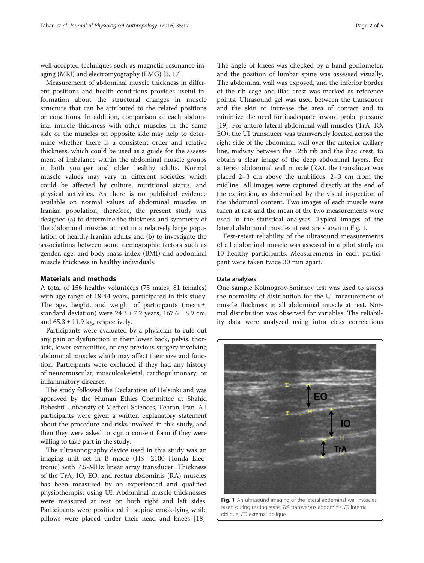well-accepted techniques such as magnetic resonance imaging (MRI) and electromyography (EMG) [\[3](#page-4-0), [17\]](#page-4-0).

Measurement of abdominal muscle thickness in different positions and health conditions provides useful information about the structural changes in muscle structure that can be attributed to the related positions or conditions. In addition, comparison of each abdominal muscle thickness with other muscles in the same side or the muscles on opposite side may help to determine whether there is a consistent order and relative thickness, which could be used as a guide for the assessment of imbalance within the abdominal muscle groups in both younger and older healthy adults. Normal muscle values may vary in different societies which could be affected by culture, nutritional status, and physical activities. As there is no published evidence available on normal values of abdominal muscles in Iranian population, therefore, the present study was designed (a) to determine the thickness and symmetry of the abdominal muscles at rest in a relatively large population of healthy Iranian adults and (b) to investigate the associations between some demographic factors such as gender, age, and body mass index (BMI) and abdominal muscle thickness in healthy individuals.

# Materials and methods

A total of 156 healthy volunteers (75 males, 81 females) with age range of 18-44 years, participated in this study. The age, height, and weight of participants (mean  $\pm$ standard deviation) were  $24.3 \pm 7.2$  years,  $167.6 \pm 8.9$  cm, and  $65.3 \pm 11.9$  kg, respectively.

Participants were evaluated by a physician to rule out any pain or dysfunction in their lower back, pelvis, thoracic, lower extremities, or any previous surgery involving abdominal muscles which may affect their size and function. Participants were excluded if they had any history of neuromuscular, musculoskeletal, cardiopulmonary, or inflammatory diseases.

The study followed the Declaration of Helsinki and was approved by the Human Ethics Committee at Shahid Beheshti University of Medical Sciences, Tehran, Iran. All participants were given a written explanatory statement about the procedure and risks involved in this study, and then they were asked to sign a consent form if they were willing to take part in the study.

The ultrasonography device used in this study was an imaging unit set in B mode (HS -2100 Honda Electronic) with 7.5-MHz linear array transducer. Thickness of the TrA, IO, EO, and rectus abdominis (RA) muscles has been measured by an experienced and qualified physiotherapist using UI. Abdominal muscle thicknesses were measured at rest on both right and left sides. Participants were positioned in supine crook-lying while pillows were placed under their head and knees [\[18](#page-4-0)].

The angle of knees was checked by a hand goniometer, and the position of lumbar spine was assessed visually. The abdominal wall was exposed, and the inferior border of the rib cage and iliac crest was marked as reference points. Ultrasound gel was used between the transducer and the skin to increase the area of contact and to minimize the need for inadequate inward probe pressure [[19](#page-4-0)]. For antero-lateral abdominal wall muscles (TrA, IO, EO), the UI transducer was transversely located across the right side of the abdominal wall over the anterior axillary line, midway between the 12th rib and the iliac crest, to obtain a clear image of the deep abdominal layers. For anterior abdominal wall muscle (RA), the transducer was placed 2–3 cm above the umbilicus, 2–3 cm from the midline. All images were captured directly at the end of the expiration, as determined by the visual inspection of the abdominal content. Two images of each muscle were taken at rest and the mean of the two measurements were used in the statistical analyses. Typical images of the lateral abdominal muscles at rest are shown in Fig. 1.

Test-retest reliability of the ultrasound measurements of all abdominal muscle was assessed in a pilot study on 10 healthy participants. Measurements in each participant were taken twice 30 min apart.

## Data analyses

One-sample Kolmogrov-Smirnov test was used to assess the normality of distribution for the UI measurement of muscle thickness in all abdominal muscle at rest. Normal distribution was observed for variables. The reliability data were analyzed using intra class correlations



taken during resting state. TrA transversus abdominis, IO internal oblique, EO external oblique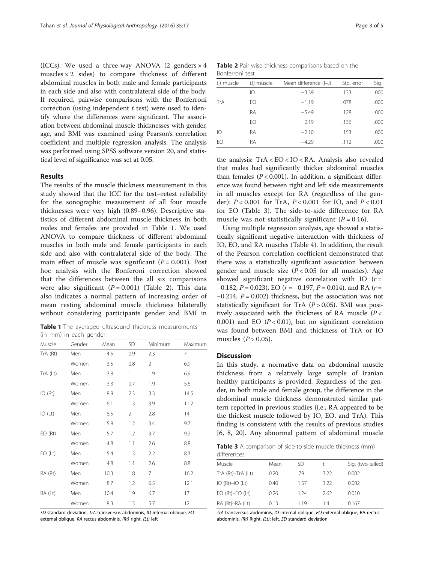(ICCs). We used a three-way ANOVA (2 genders  $\times$  4 muscles  $\times$  2 sides) to compare thickness of different abdominal muscles in both male and female participants in each side and also with contralateral side of the body. If required, pairwise comparisons with the Bonferroni correction (using independent  $t$  test) were used to identify where the differences were significant. The association between abdominal muscle thicknesses with gender, age, and BMI was examined using Pearson's correlation coefficient and multiple regression analysis. The analysis was performed using SPSS software version 20, and statistical level of significance was set at 0.05.

## Results

The results of the muscle thickness measurement in this study showed that the ICC for the test–retest reliability for the sonographic measurement of all four muscle thicknesses were very high (0.89–0.96). Descriptive statistics of different abdominal muscle thickness in both males and females are provided in Table 1. We used ANOVA to compare thickness of different abdominal muscles in both male and female participants in each side and also with contralateral side of the body. The main effect of muscle was significant ( $P = 0.001$ ). Post hoc analysis with the Bonferoni correction showed that the differences between the all six comparisons were also significant  $(P = 0.001)$  (Table 2). This data also indicates a normal pattern of increasing order of mean resting abdominal muscle thickness bilaterally without considering participants gender and BMI in

Table 1 The averaged ultrasound thickness measurements (in mm) in each gender

| Muscle    | Gender | Mean | SD             | Minimum        | Maximum |
|-----------|--------|------|----------------|----------------|---------|
| TrA (Rt)  | Men    | 4.5  | 0.9            | 2.3            | 7       |
|           | Women  | 3.5  | 0.8            | $\overline{2}$ | 6.9     |
| TrA (Lt)  | Men    | 3.8  | 1              | 1.9            | 6.9     |
|           | Women  | 3.3  | 0.7            | 1.9            | 5.6     |
| $IO$ (Rt) | Men    | 8.9  | 2.3            | 3.3            | 14.5    |
|           | Women  | 6.1  | 1.3            | 3.9            | 11.2    |
| IO(Lt)    | Men    | 8.5  | $\overline{2}$ | 2.8            | 14      |
|           | Women  | 5.8  | 1.2            | 3.4            | 9.7     |
| EO(Rt)    | Men    | 5.7  | 1.2            | 3.7            | 9.2     |
|           | Women  | 4.8  | 1.1            | 2.6            | 8.8     |
| EO (Lt)   | Men    | 5.4  | 1.3            | 2.2            | 8.3     |
|           | Women  | 4.8  | 1.1            | 2.6            | 8.8     |
| RA (Rt)   | Men    | 10.3 | 1.8            | 7              | 16.2    |
|           | Women  | 8.7  | 1.2            | 6.5            | 12.1    |
| RA (Lt)   | Men    | 10.4 | 1.9            | 6.7            | 17      |
|           | Women  | 8.3  | 1.3            | 5.7            | 12      |

SD standard deviation, TrA transversus abdominis, IO internal oblique, EO external oblique, RA rectus abdominis, (Rt) right, (Lt) left

Table 2 Pair wise thickness comparisons based on the Bonferroni test

| (I) muscle | (J) muscle | Mean difference (I-J) | Std. error | Sig  |
|------------|------------|-----------------------|------------|------|
|            | 10         | $-3.39$               | .133       | .000 |
| TrA        | EO         | $-1.19$               | .078       | .000 |
|            | RA         | $-5.49$               | .128       | .000 |
|            | FO         | 2.19                  | .136       | .000 |
| IО         | RA         | $-2.10$               | .153       | .000 |
| EO         | RA         | $-4.29$               | .112       | .000 |

the analysis: TrA < EO < IO < RA. Analysis also revealed that males had significantly thicker abdominal muscles than females  $(P < 0.001)$ . In addition, a significant difference was found between right and left side measurements in all muscles except for RA (regardless of the gender):  $P < 0.001$  for TrA,  $P < 0.001$  for IO, and  $P < 0.01$ for EO (Table 3). The side-to-side difference for RA muscle was not statistically significant  $(P = 0.16)$ .

Using multiple regression analysis, age showed a statistically significant negative interaction with thickness of IO, EO, and RA muscles (Table [4](#page-3-0)). In addition, the result of the Pearson correlation coefficient demonstrated that there was a statistically significant association between gender and muscle size  $(P < 0.05$  for all muscles). Age showed significant negative correlation with IO  $(r =$  $-0.182$ ,  $P = 0.023$ ), EO ( $r = -0.197$ ,  $P = 0.014$ ), and RA ( $r =$  $-0.214$ ,  $P = 0.002$ ) thickness, but the association was not statistically significant for TrA  $(P > 0.05)$ . BMI was positively associated with the thickness of RA muscle  $(P <$ 0.001) and EO  $(P < 0.01)$ , but no significant correlation was found between BMI and thickness of TrA or IO muscles  $(P > 0.05)$ .

# **Discussion**

In this study, a normative data on abdominal muscle thickness from a relatively large sample of Iranian healthy participants is provided. Regardless of the gender, in both male and female group, the difference in the abdominal muscle thickness demonstrated similar pattern reported in previous studies (i.e., RA appeared to be the thickest muscle followed by IO, EO, and TrA). This finding is consistent with the results of previous studies [[6, 8](#page-4-0), [20\]](#page-4-0). Any abnormal pattern of abdominal muscle

Table 3 A comparison of side-to-side muscle thickness (mm) differences

| ------------        |      |      |      |                   |
|---------------------|------|------|------|-------------------|
| Muscle              | Mean | SD   |      | Sig. (two-tailed) |
| TrA (Rt)-TrA (Lt)   | 0.20 | .79  | 3.22 | 0.002             |
| $IO (Rt) - IO (Lt)$ | 0.40 | 157  | 322  | 0.002             |
| $EO(Rt)$ -EO $(Lt)$ | 0.26 | 1 24 | 2.62 | 0.010             |
| RA (Rt)-RA (Lt)     | 0.13 | 119  | 14   | 0.167             |

TrA transversus abdominis, IO internal oblique, EO external oblique, RA rectus abdominis, (Rt) Right, (Lt): left, SD standard deviation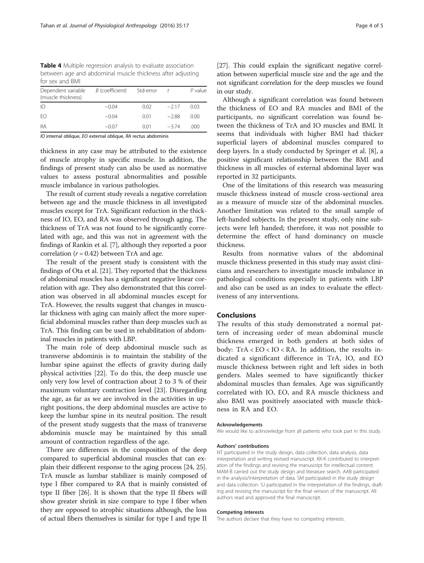<span id="page-3-0"></span>Table 4 Multiple regression analysis to evaluate association between age and abdominal muscle thickness after adjusting for sex and BMI

| Dependent variable<br>(muscle thickness) | B (coefficient) | Std-error |        | P value |
|------------------------------------------|-----------------|-----------|--------|---------|
| <b>IO</b>                                | $-0.04$         | 0.02      | $-217$ | 0.03    |
| FO.                                      | $-0.04$         | 0.01      | $-288$ | 0.00    |
| RA                                       | $-0.07$         | 0.01      | $-374$ | റററ     |

IO internal oblique, EO external oblique, RA rectus abdominis

thickness in any case may be attributed to the existence of muscle atrophy in specific muscle. In addition, the findings of present study can also be used as normative values to assess postural abnormalities and possible muscle imbalance in various pathologies.

The result of current study reveals a negative correlation between age and the muscle thickness in all investigated muscles except for TrA. Significant reduction in the thickness of IO, EO, and RA was observed through aging. The thickness of TrA was not found to be significantly correlated with age, and this was not in agreement with the findings of Rankin et al. [[7](#page-4-0)], although they reported a poor correlation  $(r = 0.42)$  between TrA and age.

The result of the present study is consistent with the findings of Ota et al. [\[21\]](#page-4-0). They reported that the thickness of abdominal muscles has a significant negative linear correlation with age. They also demonstrated that this correlation was observed in all abdominal muscles except for TrA. However, the results suggest that changes in muscular thickness with aging can mainly affect the more superficial abdominal muscles rather than deep muscles such as TrA. This finding can be used in rehabilitation of abdominal muscles in patients with LBP.

The main role of deep abdominal muscle such as transverse abdominis is to maintain the stability of the lumbar spine against the effects of gravity during daily physical activities [[22](#page-4-0)]. To do this, the deep muscle use only very low level of contraction about 2 to 3 % of their maximum voluntary contraction level [[23](#page-4-0)]. Disregarding the age, as far as we are involved in the activities in upright positions, the deep abdominal muscles are active to keep the lumbar spine in its neutral position. The result of the present study suggests that the mass of transverse abdominis muscle may be maintained by this small amount of contraction regardless of the age.

There are differences in the composition of the deep compared to superficial abdominal muscles that can explain their different response to the aging process [\[24, 25](#page-4-0)]. TrA muscle as lumbar stabilizer is mainly composed of type I fiber compared to RA that is mainly consisted of type II fiber [\[26\]](#page-4-0). It is shown that the type II fibers will show greater shrink in size compare to type I fiber when they are opposed to atrophic situations although, the loss of actual fibers themselves is similar for type I and type II

[[27](#page-4-0)]. This could explain the significant negative correlation between superficial muscle size and the age and the not significant correlation for the deep muscles we found in our study.

Although a significant correlation was found between the thickness of EO and RA muscles and BMI of the participants, no significant correlation was found between the thickness of TrA and IO muscles and BMI. It seems that individuals with higher BMI had thicker superficial layers of abdominal muscles compared to deep layers. In a study conducted by Springer et al. [[8\]](#page-4-0), a positive significant relationship between the BMI and thickness in all muscles of external abdominal layer was reported in 32 participants.

One of the limitations of this research was measuring muscle thickness instead of muscle cross-sectional area as a measure of muscle size of the abdominal muscles. Another limitation was related to the small sample of left-handed subjects. In the present study, only nine subjects were left handed; therefore, it was not possible to determine the effect of hand dominancy on muscle thickness.

Results from normative values of the abdominal muscle thickness presented in this study may assist clinicians and researchers to investigate muscle imbalance in pathological conditions especially in patients with LBP and also can be used as an index to evaluate the effectiveness of any interventions.

# Conclusions

The results of this study demonstrated a normal pattern of increasing order of mean abdominal muscle thickness emerged in both genders at both sides of body: TrA < EO < IO < RA. In addition, the results indicated a significant difference in TrA, IO, and EO muscle thickness between right and left sides in both genders. Males seemed to have significantly thicker abdominal muscles than females. Age was significantly correlated with IO, EO, and RA muscle thickness and also BMI was positively associated with muscle thickness in RA and EO.

#### Acknowledgements

We would like to acknowledge from all patients who took part in this study.

### Authors' contributions

NT participated in the study design, data collection, data analysis, data interpretation and writing revised manuscript. KK-K contributed to interpretation of the findings and revising the manuscript for intellectual content. MAM-B carried out the study design and literature search. AAB participated in the analysis/interpretation of data. SM participated in the study design and data collection. SJ participated in the interpretation of the findings, drafting and revising the manuscript for the final version of the manuscript. All authors read and approved the final manuscript.

## Competing interests

The authors declare that they have no competing interests.